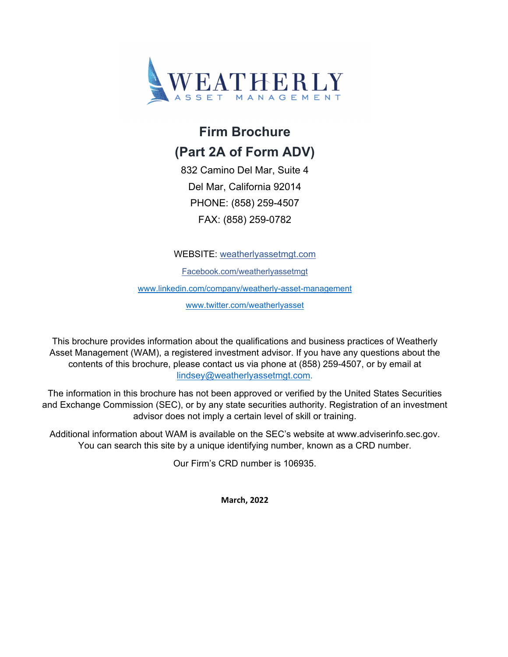

## **Firm Brochure (Part 2A of Form ADV)**

832 Camino Del Mar, Suite 4 Del Mar, California 92014 PHONE: (858) 259-4507 FAX: (858) 259-0782

WEBSITE: weatherlyassetmgt.com

Facebook.com/weatherlyassetmgt

www.linkedin.com/company/weatherly-asset-management

www.twitter.com/weatherlyasset

This brochure provides information about the qualifications and business practices of Weatherly Asset Management (WAM), a registered investment advisor. If you have any questions about the contents of this brochure, please contact us via phone at (858) 259-4507, or by email at lindsey@weatherlyassetmgt.com.

The information in this brochure has not been approved or verified by the United States Securities and Exchange Commission (SEC), or by any state securities authority. Registration of an investment advisor does not imply a certain level of skill or training.

Additional information about WAM is available on the SEC's website at www.adviserinfo.sec.gov. You can search this site by a unique identifying number, known as a CRD number.

Our Firm's CRD number is 106935.

**March, 2022**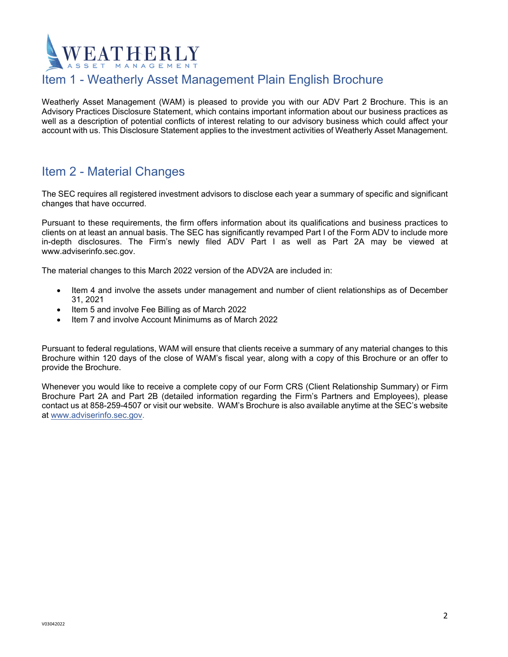# **ATHERLY**

## Item 1 - Weatherly Asset Management Plain English Brochure

Weatherly Asset Management (WAM) is pleased to provide you with our ADV Part 2 Brochure. This is an Advisory Practices Disclosure Statement, which contains important information about our business practices as well as a description of potential conflicts of interest relating to our advisory business which could affect your account with us. This Disclosure Statement applies to the investment activities of Weatherly Asset Management.

## Item 2 - Material Changes

The SEC requires all registered investment advisors to disclose each year a summary of specific and significant changes that have occurred.

Pursuant to these requirements, the firm offers information about its qualifications and business practices to clients on at least an annual basis. The SEC has significantly revamped Part I of the Form ADV to include more in-depth disclosures. The Firm's newly filed ADV Part I as well as Part 2A may be viewed at www.adviserinfo.sec.gov.

The material changes to this March 2022 version of the ADV2A are included in:

- Item 4 and involve the assets under management and number of client relationships as of December 31, 2021
- Item 5 and involve Fee Billing as of March 2022
- Item 7 and involve Account Minimums as of March 2022

Pursuant to federal regulations, WAM will ensure that clients receive a summary of any material changes to this Brochure within 120 days of the close of WAM's fiscal year, along with a copy of this Brochure or an offer to provide the Brochure.

Whenever you would like to receive a complete copy of our Form CRS (Client Relationship Summary) or Firm Brochure Part 2A and Part 2B (detailed information regarding the Firm's Partners and Employees), please contact us at 858-259-4507 or visit our website. WAM's Brochure is also available anytime at the SEC's website at www.adviserinfo.sec.gov.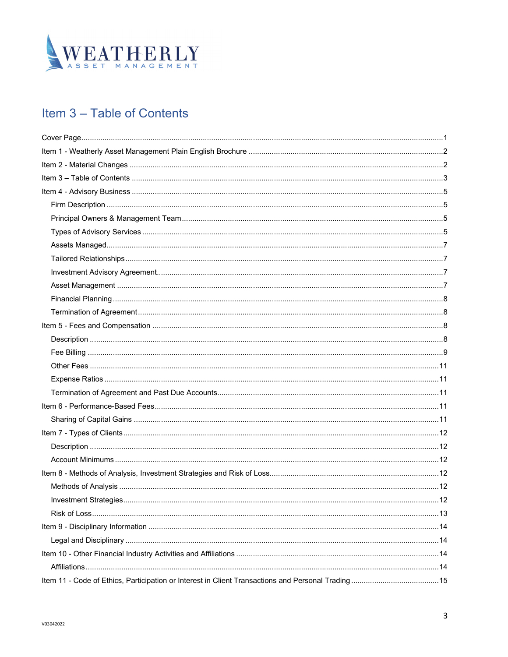

## Item 3 - Table of Contents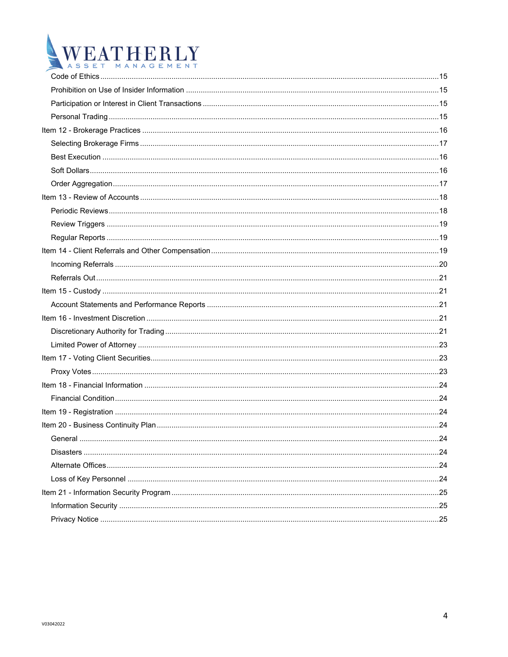# WEATHERLY W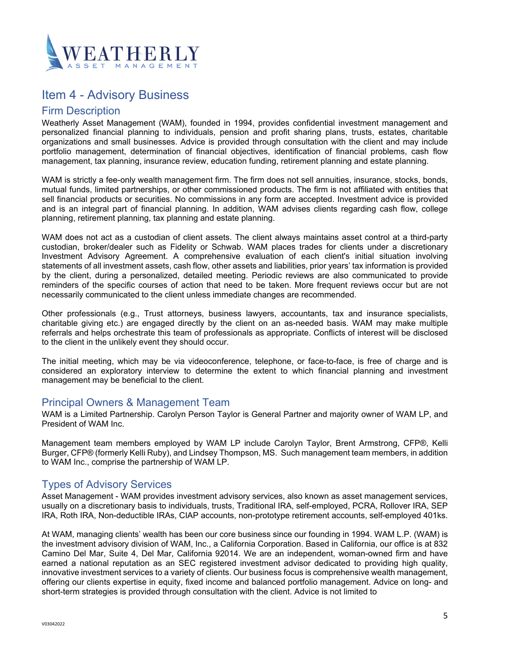

## Item 4 - Advisory Business

#### Firm Description

Weatherly Asset Management (WAM), founded in 1994, provides confidential investment management and personalized financial planning to individuals, pension and profit sharing plans, trusts, estates, charitable organizations and small businesses. Advice is provided through consultation with the client and may include portfolio management, determination of financial objectives, identification of financial problems, cash flow management, tax planning, insurance review, education funding, retirement planning and estate planning.

WAM is strictly a fee-only wealth management firm. The firm does not sell annuities, insurance, stocks, bonds, mutual funds, limited partnerships, or other commissioned products. The firm is not affiliated with entities that sell financial products or securities. No commissions in any form are accepted. Investment advice is provided and is an integral part of financial planning. In addition, WAM advises clients regarding cash flow, college planning, retirement planning, tax planning and estate planning.

WAM does not act as a custodian of client assets. The client always maintains asset control at a third-party custodian, broker/dealer such as Fidelity or Schwab. WAM places trades for clients under a discretionary Investment Advisory Agreement. A comprehensive evaluation of each client's initial situation involving statements of all investment assets, cash flow, other assets and liabilities, prior years' tax information is provided by the client, during a personalized, detailed meeting. Periodic reviews are also communicated to provide reminders of the specific courses of action that need to be taken. More frequent reviews occur but are not necessarily communicated to the client unless immediate changes are recommended.

Other professionals (e.g., Trust attorneys, business lawyers, accountants, tax and insurance specialists, charitable giving etc.) are engaged directly by the client on an as-needed basis. WAM may make multiple referrals and helps orchestrate this team of professionals as appropriate. Conflicts of interest will be disclosed to the client in the unlikely event they should occur.

The initial meeting, which may be via videoconference, telephone, or face-to-face, is free of charge and is considered an exploratory interview to determine the extent to which financial planning and investment management may be beneficial to the client.

#### Principal Owners & Management Team

WAM is a Limited Partnership. Carolyn Person Taylor is General Partner and majority owner of WAM LP, and President of WAM Inc.

Management team members employed by WAM LP include Carolyn Taylor, Brent Armstrong, CFP®, Kelli Burger, CFP® (formerly Kelli Ruby), and Lindsey Thompson, MS. Such management team members, in addition to WAM Inc., comprise the partnership of WAM LP.

#### Types of Advisory Services

Asset Management - WAM provides investment advisory services, also known as asset management services, usually on a discretionary basis to individuals, trusts, Traditional IRA, self-employed, PCRA, Rollover IRA, SEP IRA, Roth IRA, Non-deductible IRAs, CIAP accounts, non-prototype retirement accounts, self-employed 401ks.

At WAM, managing clients' wealth has been our core business since our founding in 1994. WAM L.P. (WAM) is the investment advisory division of WAM, Inc., a California Corporation. Based in California, our office is at 832 Camino Del Mar, Suite 4, Del Mar, California 92014. We are an independent, woman-owned firm and have earned a national reputation as an SEC registered investment advisor dedicated to providing high quality, innovative investment services to a variety of clients. Our business focus is comprehensive wealth management, offering our clients expertise in equity, fixed income and balanced portfolio management. Advice on long- and short-term strategies is provided through consultation with the client. Advice is not limited to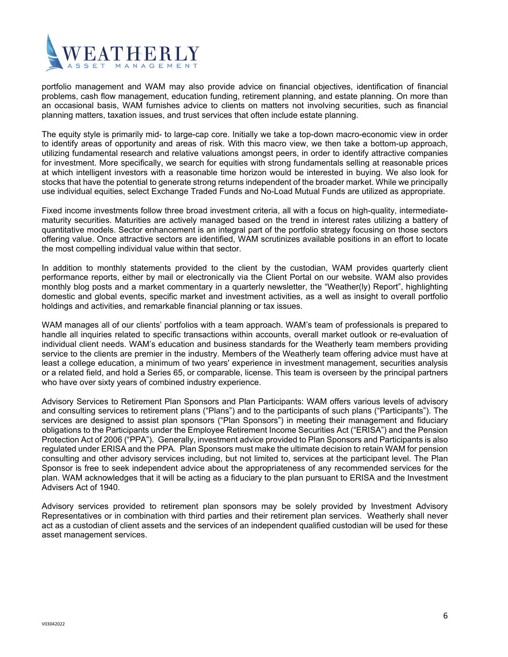

portfolio management and WAM may also provide advice on financial objectives, identification of financial problems, cash flow management, education funding, retirement planning, and estate planning. On more than an occasional basis, WAM furnishes advice to clients on matters not involving securities, such as financial planning matters, taxation issues, and trust services that often include estate planning.

The equity style is primarily mid- to large-cap core. Initially we take a top-down macro-economic view in order to identify areas of opportunity and areas of risk. With this macro view, we then take a bottom-up approach, utilizing fundamental research and relative valuations amongst peers, in order to identify attractive companies for investment. More specifically, we search for equities with strong fundamentals selling at reasonable prices at which intelligent investors with a reasonable time horizon would be interested in buying. We also look for stocks that have the potential to generate strong returns independent of the broader market. While we principally use individual equities, select Exchange Traded Funds and No-Load Mutual Funds are utilized as appropriate.

Fixed income investments follow three broad investment criteria, all with a focus on high-quality, intermediatematurity securities. Maturities are actively managed based on the trend in interest rates utilizing a battery of quantitative models. Sector enhancement is an integral part of the portfolio strategy focusing on those sectors offering value. Once attractive sectors are identified, WAM scrutinizes available positions in an effort to locate the most compelling individual value within that sector.

In addition to monthly statements provided to the client by the custodian, WAM provides quarterly client performance reports, either by mail or electronically via the Client Portal on our website. WAM also provides monthly blog posts and a market commentary in a quarterly newsletter, the "Weather(ly) Report", highlighting domestic and global events, specific market and investment activities, as a well as insight to overall portfolio holdings and activities, and remarkable financial planning or tax issues.

WAM manages all of our clients' portfolios with a team approach. WAM's team of professionals is prepared to handle all inquiries related to specific transactions within accounts, overall market outlook or re-evaluation of individual client needs. WAM's education and business standards for the Weatherly team members providing service to the clients are premier in the industry. Members of the Weatherly team offering advice must have at least a college education, a minimum of two years' experience in investment management, securities analysis or a related field, and hold a Series 65, or comparable, license. This team is overseen by the principal partners who have over sixty years of combined industry experience.

Advisory Services to Retirement Plan Sponsors and Plan Participants: WAM offers various levels of advisory and consulting services to retirement plans ("Plans") and to the participants of such plans ("Participants"). The services are designed to assist plan sponsors ("Plan Sponsors") in meeting their management and fiduciary obligations to the Participants under the Employee Retirement Income Securities Act ("ERISA") and the Pension Protection Act of 2006 ("PPA"). Generally, investment advice provided to Plan Sponsors and Participants is also regulated under ERISA and the PPA. Plan Sponsors must make the ultimate decision to retain WAM for pension consulting and other advisory services including, but not limited to, services at the participant level. The Plan Sponsor is free to seek independent advice about the appropriateness of any recommended services for the plan. WAM acknowledges that it will be acting as a fiduciary to the plan pursuant to ERISA and the Investment Advisers Act of 1940.

Advisory services provided to retirement plan sponsors may be solely provided by Investment Advisory Representatives or in combination with third parties and their retirement plan services. Weatherly shall never act as a custodian of client assets and the services of an independent qualified custodian will be used for these asset management services.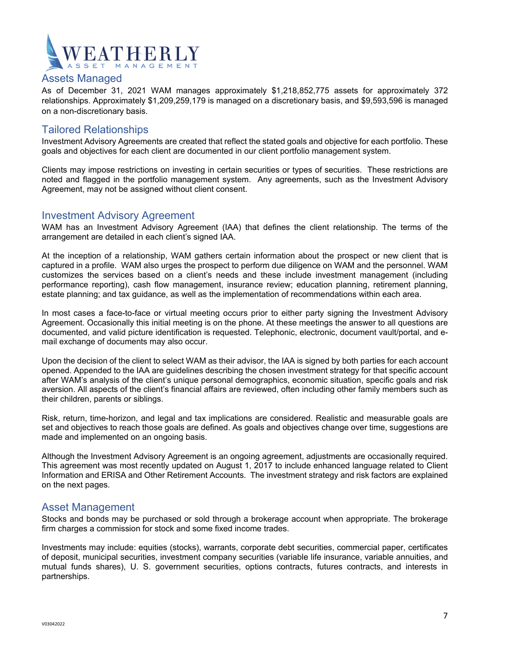

#### Assets Managed

As of December 31, 2021 WAM manages approximately \$1,218,852,775 assets for approximately 372 relationships. Approximately \$1,209,259,179 is managed on a discretionary basis, and \$9,593,596 is managed on a non-discretionary basis.

#### Tailored Relationships

Investment Advisory Agreements are created that reflect the stated goals and objective for each portfolio. These goals and objectives for each client are documented in our client portfolio management system.

Clients may impose restrictions on investing in certain securities or types of securities. These restrictions are noted and flagged in the portfolio management system. Any agreements, such as the Investment Advisory Agreement, may not be assigned without client consent.

#### Investment Advisory Agreement

WAM has an Investment Advisory Agreement (IAA) that defines the client relationship. The terms of the arrangement are detailed in each client's signed IAA.

At the inception of a relationship, WAM gathers certain information about the prospect or new client that is captured in a profile. WAM also urges the prospect to perform due diligence on WAM and the personnel. WAM customizes the services based on a client's needs and these include investment management (including performance reporting), cash flow management, insurance review; education planning, retirement planning, estate planning; and tax guidance, as well as the implementation of recommendations within each area.

In most cases a face-to-face or virtual meeting occurs prior to either party signing the Investment Advisory Agreement. Occasionally this initial meeting is on the phone. At these meetings the answer to all questions are documented, and valid picture identification is requested. Telephonic, electronic, document vault/portal, and email exchange of documents may also occur.

Upon the decision of the client to select WAM as their advisor, the IAA is signed by both parties for each account opened. Appended to the IAA are guidelines describing the chosen investment strategy for that specific account after WAM's analysis of the client's unique personal demographics, economic situation, specific goals and risk aversion. All aspects of the client's financial affairs are reviewed, often including other family members such as their children, parents or siblings.

Risk, return, time-horizon, and legal and tax implications are considered. Realistic and measurable goals are set and objectives to reach those goals are defined. As goals and objectives change over time, suggestions are made and implemented on an ongoing basis.

Although the Investment Advisory Agreement is an ongoing agreement, adjustments are occasionally required. This agreement was most recently updated on August 1, 2017 to include enhanced language related to Client Information and ERISA and Other Retirement Accounts. The investment strategy and risk factors are explained on the next pages.

#### Asset Management

Stocks and bonds may be purchased or sold through a brokerage account when appropriate. The brokerage firm charges a commission for stock and some fixed income trades.

Investments may include: equities (stocks), warrants, corporate debt securities, commercial paper, certificates of deposit, municipal securities, investment company securities (variable life insurance, variable annuities, and mutual funds shares), U. S. government securities, options contracts, futures contracts, and interests in partnerships.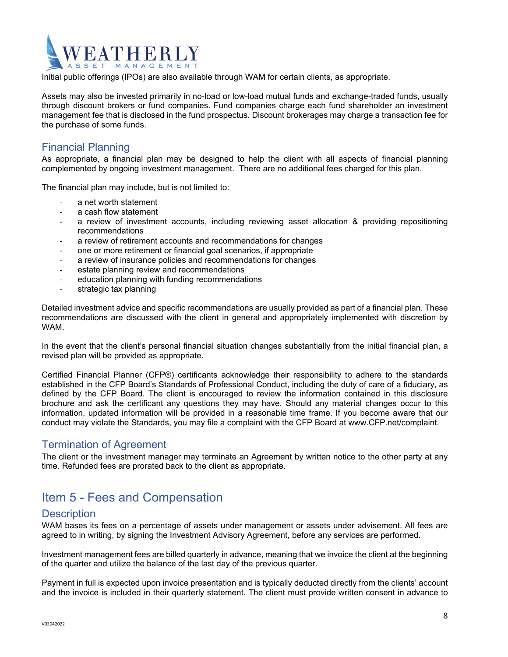## **ATHERLY NAGEMENT**

Initial public offerings (IPOs) are also available through WAM for certain clients, as appropriate.

Assets may also be invested primarily in no-load or low-load mutual funds and exchange-traded funds, usually through discount brokers or fund companies. Fund companies charge each fund shareholder an investment management fee that is disclosed in the fund prospectus. Discount brokerages may charge a transaction fee for the purchase of some funds.

#### Financial Planning

As appropriate, a financial plan may be designed to help the client with all aspects of financial planning complemented by ongoing investment management. There are no additional fees charged for this plan.

The financial plan may include, but is not limited to:

- ‐ a net worth statement
- ‐ a cash flow statement
- a review of investment accounts, including reviewing asset allocation & providing repositioning recommendations
- a review of retirement accounts and recommendations for changes
- one or more retirement or financial goal scenarios, if appropriate
- ‐ a review of insurance policies and recommendations for changes
- estate planning review and recommendations
- education planning with funding recommendations
- strategic tax planning

Detailed investment advice and specific recommendations are usually provided as part of a financial plan. These recommendations are discussed with the client in general and appropriately implemented with discretion by **WAM** 

In the event that the client's personal financial situation changes substantially from the initial financial plan, a revised plan will be provided as appropriate.

Certified Financial Planner (CFP®) certificants acknowledge their responsibility to adhere to the standards established in the CFP Board's Standards of Professional Conduct, including the duty of care of a fiduciary, as defined by the CFP Board. The client is encouraged to review the information contained in this disclosure brochure and ask the certificant any questions they may have. Should any material changes occur to this information, updated information will be provided in a reasonable time frame. If you become aware that our conduct may violate the Standards, you may file a complaint with the CFP Board at www.CFP.net/complaint.

#### Termination of Agreement

The client or the investment manager may terminate an Agreement by written notice to the other party at any time. Refunded fees are prorated back to the client as appropriate.

## Item 5 - Fees and Compensation

#### **Description**

WAM bases its fees on a percentage of assets under management or assets under advisement. All fees are agreed to in writing, by signing the Investment Advisory Agreement, before any services are performed.

Investment management fees are billed quarterly in advance, meaning that we invoice the client at the beginning of the quarter and utilize the balance of the last day of the previous quarter.

Payment in full is expected upon invoice presentation and is typically deducted directly from the clients' account and the invoice is included in their quarterly statement. The client must provide written consent in advance to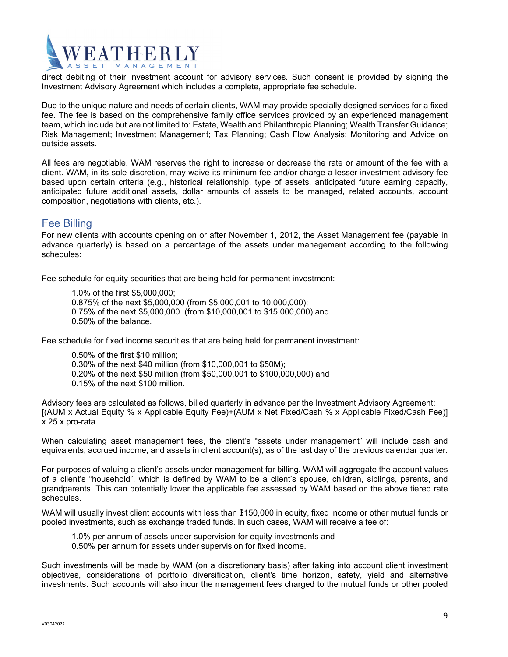

direct debiting of their investment account for advisory services. Such consent is provided by signing the Investment Advisory Agreement which includes a complete, appropriate fee schedule.

Due to the unique nature and needs of certain clients, WAM may provide specially designed services for a fixed fee. The fee is based on the comprehensive family office services provided by an experienced management team, which include but are not limited to: Estate, Wealth and Philanthropic Planning; Wealth Transfer Guidance; Risk Management; Investment Management; Tax Planning; Cash Flow Analysis; Monitoring and Advice on outside assets.

All fees are negotiable. WAM reserves the right to increase or decrease the rate or amount of the fee with a client. WAM, in its sole discretion, may waive its minimum fee and/or charge a lesser investment advisory fee based upon certain criteria (e.g., historical relationship, type of assets, anticipated future earning capacity, anticipated future additional assets, dollar amounts of assets to be managed, related accounts, account composition, negotiations with clients, etc.).

#### Fee Billing

For new clients with accounts opening on or after November 1, 2012, the Asset Management fee (payable in advance quarterly) is based on a percentage of the assets under management according to the following schedules:

Fee schedule for equity securities that are being held for permanent investment:

- 1.0% of the first \$5,000,000;
- 0.875% of the next \$5,000,000 (from \$5,000,001 to 10,000,000);
- 0.75% of the next \$5,000,000. (from \$10,000,001 to \$15,000,000) and
- 0.50% of the balance.

Fee schedule for fixed income securities that are being held for permanent investment:

- 0.50% of the first \$10 million;
- 0.30% of the next \$40 million (from \$10,000,001 to \$50M);
- 0.20% of the next \$50 million (from \$50,000,001 to \$100,000,000) and
- 0.15% of the next \$100 million.

Advisory fees are calculated as follows, billed quarterly in advance per the Investment Advisory Agreement: [(AUM x Actual Equity % x Applicable Equity Fee)+(AUM x Net Fixed/Cash % x Applicable Fixed/Cash Fee)] x.25 x pro-rata.

When calculating asset management fees, the client's "assets under management" will include cash and equivalents, accrued income, and assets in client account(s), as of the last day of the previous calendar quarter.

For purposes of valuing a client's assets under management for billing, WAM will aggregate the account values of a client's "household", which is defined by WAM to be a client's spouse, children, siblings, parents, and grandparents. This can potentially lower the applicable fee assessed by WAM based on the above tiered rate schedules.

WAM will usually invest client accounts with less than \$150,000 in equity, fixed income or other mutual funds or pooled investments, such as exchange traded funds. In such cases, WAM will receive a fee of:

- 1.0% per annum of assets under supervision for equity investments and
- 0.50% per annum for assets under supervision for fixed income.

Such investments will be made by WAM (on a discretionary basis) after taking into account client investment objectives, considerations of portfolio diversification, client's time horizon, safety, yield and alternative investments. Such accounts will also incur the management fees charged to the mutual funds or other pooled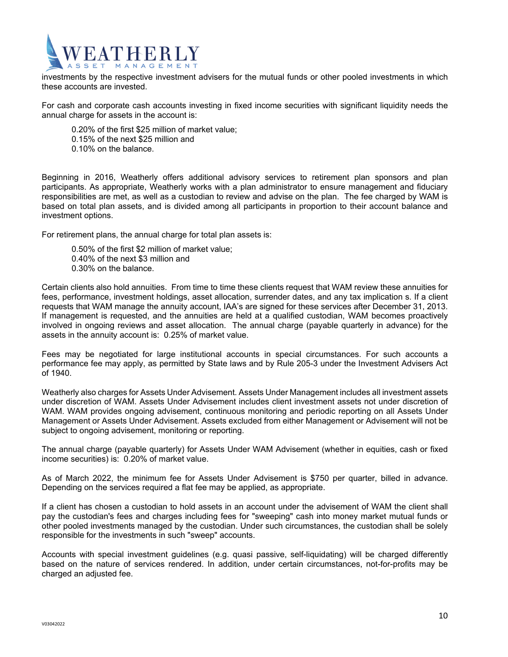

investments by the respective investment advisers for the mutual funds or other pooled investments in which these accounts are invested.

For cash and corporate cash accounts investing in fixed income securities with significant liquidity needs the annual charge for assets in the account is:

0.20% of the first \$25 million of market value;

- 0.15% of the next \$25 million and
- 0.10% on the balance.

Beginning in 2016, Weatherly offers additional advisory services to retirement plan sponsors and plan participants. As appropriate, Weatherly works with a plan administrator to ensure management and fiduciary responsibilities are met, as well as a custodian to review and advise on the plan. The fee charged by WAM is based on total plan assets, and is divided among all participants in proportion to their account balance and investment options.

For retirement plans, the annual charge for total plan assets is:

0.50% of the first \$2 million of market value; 0.40% of the next \$3 million and 0.30% on the balance.

Certain clients also hold annuities. From time to time these clients request that WAM review these annuities for fees, performance, investment holdings, asset allocation, surrender dates, and any tax implication s. If a client requests that WAM manage the annuity account, IAA's are signed for these services after December 31, 2013. If management is requested, and the annuities are held at a qualified custodian, WAM becomes proactively involved in ongoing reviews and asset allocation. The annual charge (payable quarterly in advance) for the assets in the annuity account is: 0.25% of market value.

Fees may be negotiated for large institutional accounts in special circumstances. For such accounts a performance fee may apply, as permitted by State laws and by Rule 205-3 under the Investment Advisers Act of 1940.

Weatherly also charges for Assets Under Advisement. Assets Under Management includes all investment assets under discretion of WAM. Assets Under Advisement includes client investment assets not under discretion of WAM. WAM provides ongoing advisement, continuous monitoring and periodic reporting on all Assets Under Management or Assets Under Advisement. Assets excluded from either Management or Advisement will not be subject to ongoing advisement, monitoring or reporting.

The annual charge (payable quarterly) for Assets Under WAM Advisement (whether in equities, cash or fixed income securities) is: 0.20% of market value.

As of March 2022, the minimum fee for Assets Under Advisement is \$750 per quarter, billed in advance. Depending on the services required a flat fee may be applied, as appropriate.

If a client has chosen a custodian to hold assets in an account under the advisement of WAM the client shall pay the custodian's fees and charges including fees for "sweeping" cash into money market mutual funds or other pooled investments managed by the custodian. Under such circumstances, the custodian shall be solely responsible for the investments in such "sweep" accounts.

Accounts with special investment guidelines (e.g. quasi passive, self-liquidating) will be charged differently based on the nature of services rendered. In addition, under certain circumstances, not-for-profits may be charged an adjusted fee.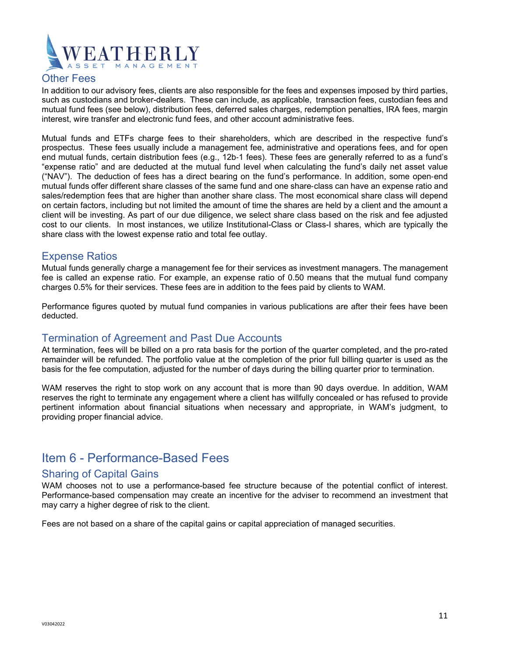

#### Other Fees

In addition to our advisory fees, clients are also responsible for the fees and expenses imposed by third parties, such as custodians and broker-dealers. These can include, as applicable, transaction fees, custodian fees and mutual fund fees (see below), distribution fees, deferred sales charges, redemption penalties, IRA fees, margin interest, wire transfer and electronic fund fees, and other account administrative fees.

Mutual funds and ETFs charge fees to their shareholders, which are described in the respective fund's prospectus. These fees usually include a management fee, administrative and operations fees, and for open end mutual funds, certain distribution fees (e.g., 12b-1 fees). These fees are generally referred to as a fund's "expense ratio" and are deducted at the mutual fund level when calculating the fund's daily net asset value ("NAV"). The deduction of fees has a direct bearing on the fund's performance. In addition, some open-end mutual funds offer different share classes of the same fund and one share-class can have an expense ratio and sales/redemption fees that are higher than another share class. The most economical share class will depend on certain factors, including but not limited the amount of time the shares are held by a client and the amount a client will be investing. As part of our due diligence, we select share class based on the risk and fee adjusted cost to our clients. In most instances, we utilize Institutional-Class or Class-I shares, which are typically the share class with the lowest expense ratio and total fee outlay.

#### Expense Ratios

Mutual funds generally charge a management fee for their services as investment managers. The management fee is called an expense ratio. For example, an expense ratio of 0.50 means that the mutual fund company charges 0.5% for their services. These fees are in addition to the fees paid by clients to WAM.

Performance figures quoted by mutual fund companies in various publications are after their fees have been deducted.

#### Termination of Agreement and Past Due Accounts

At termination, fees will be billed on a pro rata basis for the portion of the quarter completed, and the pro-rated remainder will be refunded. The portfolio value at the completion of the prior full billing quarter is used as the basis for the fee computation, adjusted for the number of days during the billing quarter prior to termination.

WAM reserves the right to stop work on any account that is more than 90 days overdue. In addition, WAM reserves the right to terminate any engagement where a client has willfully concealed or has refused to provide pertinent information about financial situations when necessary and appropriate, in WAM's judgment, to providing proper financial advice.

## Item 6 - Performance-Based Fees

#### Sharing of Capital Gains

WAM chooses not to use a performance-based fee structure because of the potential conflict of interest. Performance-based compensation may create an incentive for the adviser to recommend an investment that may carry a higher degree of risk to the client.

Fees are not based on a share of the capital gains or capital appreciation of managed securities.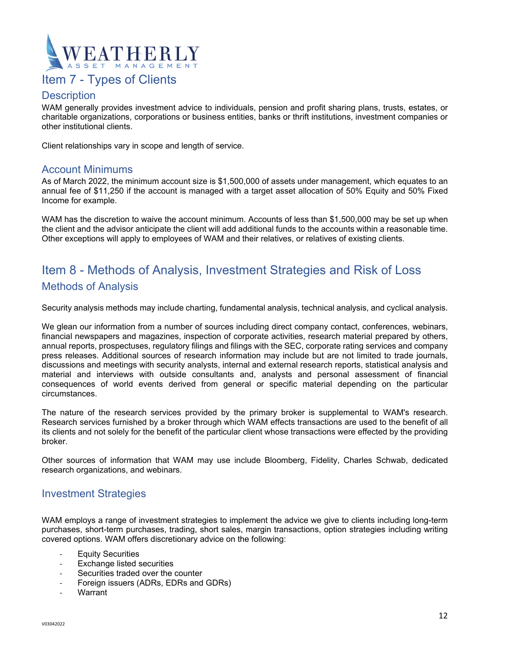

## Item 7 - Types of Clients

#### **Description**

WAM generally provides investment advice to individuals, pension and profit sharing plans, trusts, estates, or charitable organizations, corporations or business entities, banks or thrift institutions, investment companies or other institutional clients.

Client relationships vary in scope and length of service.

#### Account Minimums

As of March 2022, the minimum account size is \$1,500,000 of assets under management, which equates to an annual fee of \$11,250 if the account is managed with a target asset allocation of 50% Equity and 50% Fixed Income for example.

WAM has the discretion to waive the account minimum. Accounts of less than \$1,500,000 may be set up when the client and the advisor anticipate the client will add additional funds to the accounts within a reasonable time. Other exceptions will apply to employees of WAM and their relatives, or relatives of existing clients.

## Item 8 - Methods of Analysis, Investment Strategies and Risk of Loss Methods of Analysis

Security analysis methods may include charting, fundamental analysis, technical analysis, and cyclical analysis.

We glean our information from a number of sources including direct company contact, conferences, webinars, financial newspapers and magazines, inspection of corporate activities, research material prepared by others, annual reports, prospectuses, regulatory filings and filings with the SEC, corporate rating services and company press releases. Additional sources of research information may include but are not limited to trade journals, discussions and meetings with security analysts, internal and external research reports, statistical analysis and material and interviews with outside consultants and, analysts and personal assessment of financial consequences of world events derived from general or specific material depending on the particular circumstances.

The nature of the research services provided by the primary broker is supplemental to WAM's research. Research services furnished by a broker through which WAM effects transactions are used to the benefit of all its clients and not solely for the benefit of the particular client whose transactions were effected by the providing broker.

Other sources of information that WAM may use include Bloomberg, Fidelity, Charles Schwab, dedicated research organizations, and webinars.

#### Investment Strategies

WAM employs a range of investment strategies to implement the advice we give to clients including long-term purchases, short-term purchases, trading, short sales, margin transactions, option strategies including writing covered options. WAM offers discretionary advice on the following:

- **Equity Securities**
- ‐ Exchange listed securities
- Securities traded over the counter
- ‐ Foreign issuers (ADRs, EDRs and GDRs)
- **Warrant**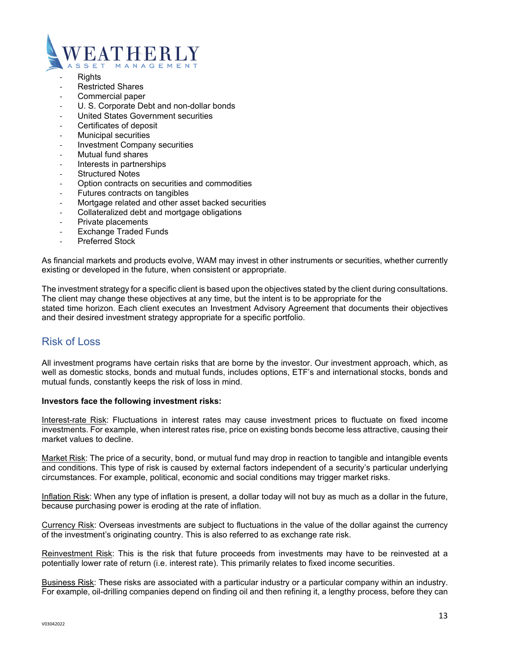

- **Rights**
- ‐ Restricted Shares
- ‐ Commercial paper
- U. S. Corporate Debt and non-dollar bonds
- ‐ United States Government securities
- Certificates of deposit
- ‐ Municipal securities
- ‐ Investment Company securities
- ‐ Mutual fund shares
- ‐ Interests in partnerships
- **Structured Notes**
- ‐ Option contracts on securities and commodities
- ‐ Futures contracts on tangibles
- ‐ Mortgage related and other asset backed securities
- ‐ Collateralized debt and mortgage obligations
- ‐ Private placements
- **Exchange Traded Funds**
- ‐ Preferred Stock

As financial markets and products evolve, WAM may invest in other instruments or securities, whether currently existing or developed in the future, when consistent or appropriate.

The investment strategy for a specific client is based upon the objectives stated by the client during consultations. The client may change these objectives at any time, but the intent is to be appropriate for the stated time horizon. Each client executes an Investment Advisory Agreement that documents their objectives and their desired investment strategy appropriate for a specific portfolio.

#### Risk of Loss

All investment programs have certain risks that are borne by the investor. Our investment approach, which, as well as domestic stocks, bonds and mutual funds, includes options, ETF's and international stocks, bonds and mutual funds, constantly keeps the risk of loss in mind.

#### **Investors face the following investment risks:**

Interest-rate Risk: Fluctuations in interest rates may cause investment prices to fluctuate on fixed income investments. For example, when interest rates rise, price on existing bonds become less attractive, causing their market values to decline.

Market Risk: The price of a security, bond, or mutual fund may drop in reaction to tangible and intangible events and conditions. This type of risk is caused by external factors independent of a security's particular underlying circumstances. For example, political, economic and social conditions may trigger market risks.

Inflation Risk: When any type of inflation is present, a dollar today will not buy as much as a dollar in the future, because purchasing power is eroding at the rate of inflation.

Currency Risk: Overseas investments are subject to fluctuations in the value of the dollar against the currency of the investment's originating country. This is also referred to as exchange rate risk.

Reinvestment Risk: This is the risk that future proceeds from investments may have to be reinvested at a potentially lower rate of return (i.e. interest rate). This primarily relates to fixed income securities.

Business Risk: These risks are associated with a particular industry or a particular company within an industry. For example, oil-drilling companies depend on finding oil and then refining it, a lengthy process, before they can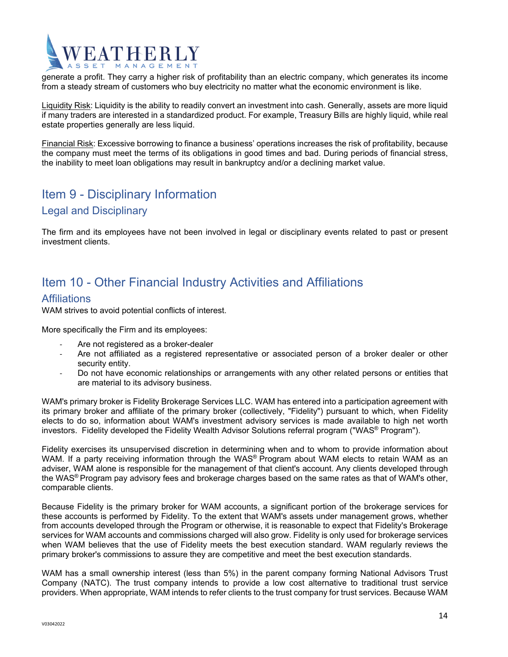# THERI

generate a profit. They carry a higher risk of profitability than an electric company, which generates its income from a steady stream of customers who buy electricity no matter what the economic environment is like.

Liquidity Risk: Liquidity is the ability to readily convert an investment into cash. Generally, assets are more liquid if many traders are interested in a standardized product. For example, Treasury Bills are highly liquid, while real estate properties generally are less liquid.

Financial Risk: Excessive borrowing to finance a business' operations increases the risk of profitability, because the company must meet the terms of its obligations in good times and bad. During periods of financial stress, the inability to meet loan obligations may result in bankruptcy and/or a declining market value.

## Item 9 - Disciplinary Information Legal and Disciplinary

The firm and its employees have not been involved in legal or disciplinary events related to past or present investment clients.

## Item 10 - Other Financial Industry Activities and Affiliations

#### **Affiliations**

WAM strives to avoid potential conflicts of interest.

More specifically the Firm and its employees:

- ‐ Are not registered as a broker-dealer
- ‐ Are not affiliated as a registered representative or associated person of a broker dealer or other security entity.
- ‐ Do not have economic relationships or arrangements with any other related persons or entities that are material to its advisory business.

WAM's primary broker is Fidelity Brokerage Services LLC. WAM has entered into a participation agreement with its primary broker and affiliate of the primary broker (collectively, "Fidelity") pursuant to which, when Fidelity elects to do so, information about WAM's investment advisory services is made available to high net worth investors. Fidelity developed the Fidelity Wealth Advisor Solutions referral program ("WAS® Program").

Fidelity exercises its unsupervised discretion in determining when and to whom to provide information about WAM. If a party receiving information through the WAS<sup>®</sup> Program about WAM elects to retain WAM as an adviser, WAM alone is responsible for the management of that client's account. Any clients developed through the WAS® Program pay advisory fees and brokerage charges based on the same rates as that of WAM's other, comparable clients.

Because Fidelity is the primary broker for WAM accounts, a significant portion of the brokerage services for these accounts is performed by Fidelity. To the extent that WAM's assets under management grows, whether from accounts developed through the Program or otherwise, it is reasonable to expect that Fidelity's Brokerage services for WAM accounts and commissions charged will also grow. Fidelity is only used for brokerage services when WAM believes that the use of Fidelity meets the best execution standard. WAM regularly reviews the primary broker's commissions to assure they are competitive and meet the best execution standards.

WAM has a small ownership interest (less than 5%) in the parent company forming National Advisors Trust Company (NATC). The trust company intends to provide a low cost alternative to traditional trust service providers. When appropriate, WAM intends to refer clients to the trust company for trust services. Because WAM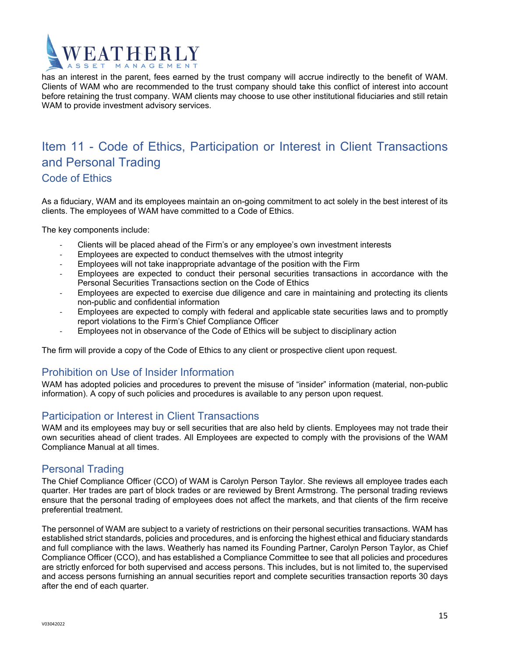

has an interest in the parent, fees earned by the trust company will accrue indirectly to the benefit of WAM. Clients of WAM who are recommended to the trust company should take this conflict of interest into account before retaining the trust company. WAM clients may choose to use other institutional fiduciaries and still retain WAM to provide investment advisory services.

## Item 11 - Code of Ethics, Participation or Interest in Client Transactions and Personal Trading Code of Ethics

As a fiduciary, WAM and its employees maintain an on-going commitment to act solely in the best interest of its clients. The employees of WAM have committed to a Code of Ethics.

The key components include:

- ‐ Clients will be placed ahead of the Firm's or any employee's own investment interests
- ‐ Employees are expected to conduct themselves with the utmost integrity
- ‐ Employees will not take inappropriate advantage of the position with the Firm
- ‐ Employees are expected to conduct their personal securities transactions in accordance with the Personal Securities Transactions section on the Code of Ethics
- ‐ Employees are expected to exercise due diligence and care in maintaining and protecting its clients non-public and confidential information
- ‐ Employees are expected to comply with federal and applicable state securities laws and to promptly report violations to the Firm's Chief Compliance Officer
- ‐ Employees not in observance of the Code of Ethics will be subject to disciplinary action

The firm will provide a copy of the Code of Ethics to any client or prospective client upon request.

#### Prohibition on Use of Insider Information

WAM has adopted policies and procedures to prevent the misuse of "insider" information (material, non-public information). A copy of such policies and procedures is available to any person upon request.

#### Participation or Interest in Client Transactions

WAM and its employees may buy or sell securities that are also held by clients. Employees may not trade their own securities ahead of client trades. All Employees are expected to comply with the provisions of the WAM Compliance Manual at all times.

#### Personal Trading

The Chief Compliance Officer (CCO) of WAM is Carolyn Person Taylor. She reviews all employee trades each quarter. Her trades are part of block trades or are reviewed by Brent Armstrong. The personal trading reviews ensure that the personal trading of employees does not affect the markets, and that clients of the firm receive preferential treatment.

The personnel of WAM are subject to a variety of restrictions on their personal securities transactions. WAM has established strict standards, policies and procedures, and is enforcing the highest ethical and fiduciary standards and full compliance with the laws. Weatherly has named its Founding Partner, Carolyn Person Taylor, as Chief Compliance Officer (CCO), and has established a Compliance Committee to see that all policies and procedures are strictly enforced for both supervised and access persons. This includes, but is not limited to, the supervised and access persons furnishing an annual securities report and complete securities transaction reports 30 days after the end of each quarter.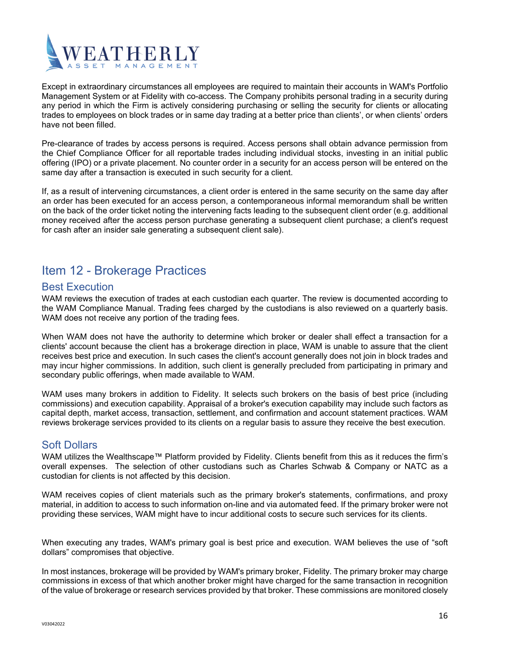

Except in extraordinary circumstances all employees are required to maintain their accounts in WAM's Portfolio Management System or at Fidelity with co-access. The Company prohibits personal trading in a security during any period in which the Firm is actively considering purchasing or selling the security for clients or allocating trades to employees on block trades or in same day trading at a better price than clients', or when clients' orders have not been filled.

Pre-clearance of trades by access persons is required. Access persons shall obtain advance permission from the Chief Compliance Officer for all reportable trades including individual stocks, investing in an initial public offering (IPO) or a private placement. No counter order in a security for an access person will be entered on the same day after a transaction is executed in such security for a client.

If, as a result of intervening circumstances, a client order is entered in the same security on the same day after an order has been executed for an access person, a contemporaneous informal memorandum shall be written on the back of the order ticket noting the intervening facts leading to the subsequent client order (e.g. additional money received after the access person purchase generating a subsequent client purchase; a client's request for cash after an insider sale generating a subsequent client sale).

## Item 12 - Brokerage Practices

#### Best Execution

WAM reviews the execution of trades at each custodian each quarter. The review is documented according to the WAM Compliance Manual. Trading fees charged by the custodians is also reviewed on a quarterly basis. WAM does not receive any portion of the trading fees.

When WAM does not have the authority to determine which broker or dealer shall effect a transaction for a clients' account because the client has a brokerage direction in place, WAM is unable to assure that the client receives best price and execution. In such cases the client's account generally does not join in block trades and may incur higher commissions. In addition, such client is generally precluded from participating in primary and secondary public offerings, when made available to WAM.

WAM uses many brokers in addition to Fidelity. It selects such brokers on the basis of best price (including commissions) and execution capability. Appraisal of a broker's execution capability may include such factors as capital depth, market access, transaction, settlement, and confirmation and account statement practices. WAM reviews brokerage services provided to its clients on a regular basis to assure they receive the best execution.

#### Soft Dollars

WAM utilizes the Wealthscape™ Platform provided by Fidelity. Clients benefit from this as it reduces the firm's overall expenses. The selection of other custodians such as Charles Schwab & Company or NATC as a custodian for clients is not affected by this decision.

WAM receives copies of client materials such as the primary broker's statements, confirmations, and proxy material, in addition to access to such information on-line and via automated feed. If the primary broker were not providing these services, WAM might have to incur additional costs to secure such services for its clients.

When executing any trades, WAM's primary goal is best price and execution. WAM believes the use of "soft dollars" compromises that objective.

In most instances, brokerage will be provided by WAM's primary broker, Fidelity. The primary broker may charge commissions in excess of that which another broker might have charged for the same transaction in recognition of the value of brokerage or research services provided by that broker. These commissions are monitored closely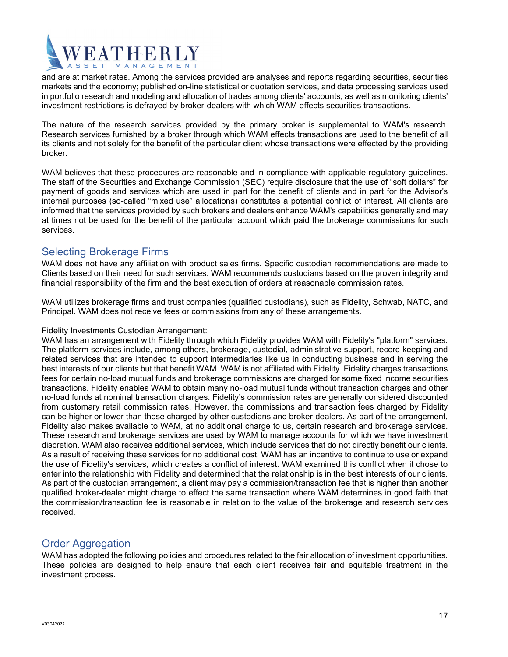

and are at market rates. Among the services provided are analyses and reports regarding securities, securities markets and the economy; published on-line statistical or quotation services, and data processing services used in portfolio research and modeling and allocation of trades among clients' accounts, as well as monitoring clients' investment restrictions is defrayed by broker-dealers with which WAM effects securities transactions.

The nature of the research services provided by the primary broker is supplemental to WAM's research. Research services furnished by a broker through which WAM effects transactions are used to the benefit of all its clients and not solely for the benefit of the particular client whose transactions were effected by the providing broker.

WAM believes that these procedures are reasonable and in compliance with applicable regulatory guidelines. The staff of the Securities and Exchange Commission (SEC) require disclosure that the use of "soft dollars" for payment of goods and services which are used in part for the benefit of clients and in part for the Advisor's internal purposes (so-called "mixed use" allocations) constitutes a potential conflict of interest. All clients are informed that the services provided by such brokers and dealers enhance WAM's capabilities generally and may at times not be used for the benefit of the particular account which paid the brokerage commissions for such services.

#### Selecting Brokerage Firms

WAM does not have any affiliation with product sales firms. Specific custodian recommendations are made to Clients based on their need for such services. WAM recommends custodians based on the proven integrity and financial responsibility of the firm and the best execution of orders at reasonable commission rates.

WAM utilizes brokerage firms and trust companies (qualified custodians), such as Fidelity, Schwab, NATC, and Principal. WAM does not receive fees or commissions from any of these arrangements.

#### Fidelity Investments Custodian Arrangement:

WAM has an arrangement with Fidelity through which Fidelity provides WAM with Fidelity's "platform" services. The platform services include, among others, brokerage, custodial, administrative support, record keeping and related services that are intended to support intermediaries like us in conducting business and in serving the best interests of our clients but that benefit WAM. WAM is not affiliated with Fidelity. Fidelity charges transactions fees for certain no-load mutual funds and brokerage commissions are charged for some fixed income securities transactions. Fidelity enables WAM to obtain many no-load mutual funds without transaction charges and other no-load funds at nominal transaction charges. Fidelity's commission rates are generally considered discounted from customary retail commission rates. However, the commissions and transaction fees charged by Fidelity can be higher or lower than those charged by other custodians and broker-dealers. As part of the arrangement, Fidelity also makes available to WAM, at no additional charge to us, certain research and brokerage services. These research and brokerage services are used by WAM to manage accounts for which we have investment discretion. WAM also receives additional services, which include services that do not directly benefit our clients. As a result of receiving these services for no additional cost, WAM has an incentive to continue to use or expand the use of Fidelity's services, which creates a conflict of interest. WAM examined this conflict when it chose to enter into the relationship with Fidelity and determined that the relationship is in the best interests of our clients. As part of the custodian arrangement, a client may pay a commission/transaction fee that is higher than another qualified broker-dealer might charge to effect the same transaction where WAM determines in good faith that the commission/transaction fee is reasonable in relation to the value of the brokerage and research services received.

#### Order Aggregation

WAM has adopted the following policies and procedures related to the fair allocation of investment opportunities. These policies are designed to help ensure that each client receives fair and equitable treatment in the investment process.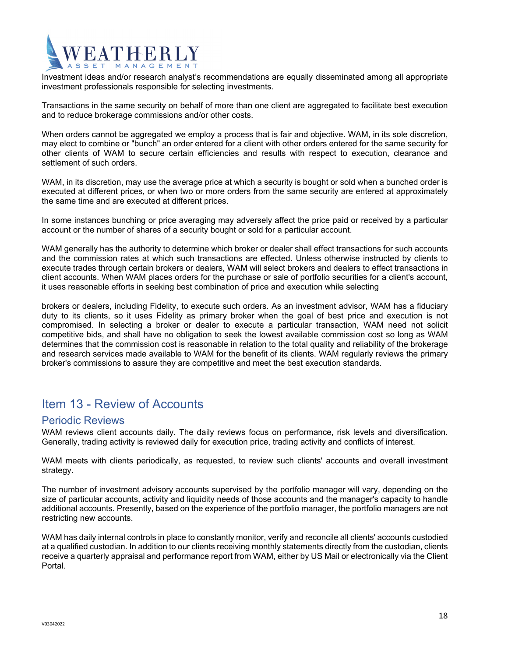# ATHERI

Investment ideas and/or research analyst's recommendations are equally disseminated among all appropriate investment professionals responsible for selecting investments.

Transactions in the same security on behalf of more than one client are aggregated to facilitate best execution and to reduce brokerage commissions and/or other costs.

When orders cannot be aggregated we employ a process that is fair and objective. WAM, in its sole discretion, may elect to combine or "bunch" an order entered for a client with other orders entered for the same security for other clients of WAM to secure certain efficiencies and results with respect to execution, clearance and settlement of such orders.

WAM, in its discretion, may use the average price at which a security is bought or sold when a bunched order is executed at different prices, or when two or more orders from the same security are entered at approximately the same time and are executed at different prices.

In some instances bunching or price averaging may adversely affect the price paid or received by a particular account or the number of shares of a security bought or sold for a particular account.

WAM generally has the authority to determine which broker or dealer shall effect transactions for such accounts and the commission rates at which such transactions are effected. Unless otherwise instructed by clients to execute trades through certain brokers or dealers, WAM will select brokers and dealers to effect transactions in client accounts. When WAM places orders for the purchase or sale of portfolio securities for a client's account, it uses reasonable efforts in seeking best combination of price and execution while selecting

brokers or dealers, including Fidelity, to execute such orders. As an investment advisor, WAM has a fiduciary duty to its clients, so it uses Fidelity as primary broker when the goal of best price and execution is not compromised. In selecting a broker or dealer to execute a particular transaction, WAM need not solicit competitive bids, and shall have no obligation to seek the lowest available commission cost so long as WAM determines that the commission cost is reasonable in relation to the total quality and reliability of the brokerage and research services made available to WAM for the benefit of its clients. WAM regularly reviews the primary broker's commissions to assure they are competitive and meet the best execution standards.

## Item 13 - Review of Accounts

#### Periodic Reviews

WAM reviews client accounts daily. The daily reviews focus on performance, risk levels and diversification. Generally, trading activity is reviewed daily for execution price, trading activity and conflicts of interest.

WAM meets with clients periodically, as requested, to review such clients' accounts and overall investment strategy.

The number of investment advisory accounts supervised by the portfolio manager will vary, depending on the size of particular accounts, activity and liquidity needs of those accounts and the manager's capacity to handle additional accounts. Presently, based on the experience of the portfolio manager, the portfolio managers are not restricting new accounts.

WAM has daily internal controls in place to constantly monitor, verify and reconcile all clients' accounts custodied at a qualified custodian. In addition to our clients receiving monthly statements directly from the custodian, clients receive a quarterly appraisal and performance report from WAM, either by US Mail or electronically via the Client Portal.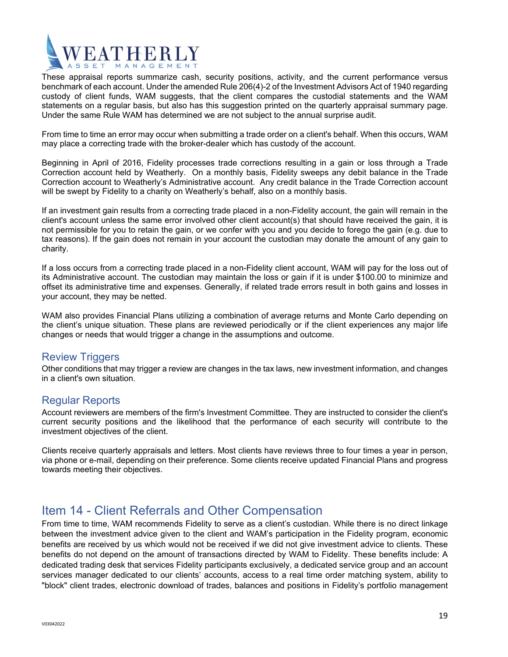

These appraisal reports summarize cash, security positions, activity, and the current performance versus benchmark of each account. Under the amended Rule 206(4)-2 of the Investment Advisors Act of 1940 regarding custody of client funds, WAM suggests, that the client compares the custodial statements and the WAM statements on a regular basis, but also has this suggestion printed on the quarterly appraisal summary page. Under the same Rule WAM has determined we are not subject to the annual surprise audit.

From time to time an error may occur when submitting a trade order on a client's behalf. When this occurs, WAM may place a correcting trade with the broker-dealer which has custody of the account.

Beginning in April of 2016, Fidelity processes trade corrections resulting in a gain or loss through a Trade Correction account held by Weatherly. On a monthly basis, Fidelity sweeps any debit balance in the Trade Correction account to Weatherly's Administrative account. Any credit balance in the Trade Correction account will be swept by Fidelity to a charity on Weatherly's behalf, also on a monthly basis.

If an investment gain results from a correcting trade placed in a non-Fidelity account, the gain will remain in the client's account unless the same error involved other client account(s) that should have received the gain, it is not permissible for you to retain the gain, or we confer with you and you decide to forego the gain (e.g. due to tax reasons). If the gain does not remain in your account the custodian may donate the amount of any gain to charity.

If a loss occurs from a correcting trade placed in a non-Fidelity client account, WAM will pay for the loss out of its Administrative account. The custodian may maintain the loss or gain if it is under \$100.00 to minimize and offset its administrative time and expenses. Generally, if related trade errors result in both gains and losses in your account, they may be netted.

WAM also provides Financial Plans utilizing a combination of average returns and Monte Carlo depending on the client's unique situation. These plans are reviewed periodically or if the client experiences any major life changes or needs that would trigger a change in the assumptions and outcome.

#### Review Triggers

Other conditions that may trigger a review are changes in the tax laws, new investment information, and changes in a client's own situation.

#### Regular Reports

Account reviewers are members of the firm's Investment Committee. They are instructed to consider the client's current security positions and the likelihood that the performance of each security will contribute to the investment objectives of the client.

Clients receive quarterly appraisals and letters. Most clients have reviews three to four times a year in person, via phone or e-mail, depending on their preference. Some clients receive updated Financial Plans and progress towards meeting their objectives.

## Item 14 - Client Referrals and Other Compensation

From time to time, WAM recommends Fidelity to serve as a client's custodian. While there is no direct linkage between the investment advice given to the client and WAM's participation in the Fidelity program, economic benefits are received by us which would not be received if we did not give investment advice to clients. These benefits do not depend on the amount of transactions directed by WAM to Fidelity. These benefits include: A dedicated trading desk that services Fidelity participants exclusively, a dedicated service group and an account services manager dedicated to our clients' accounts, access to a real time order matching system, ability to "block" client trades, electronic download of trades, balances and positions in Fidelity's portfolio management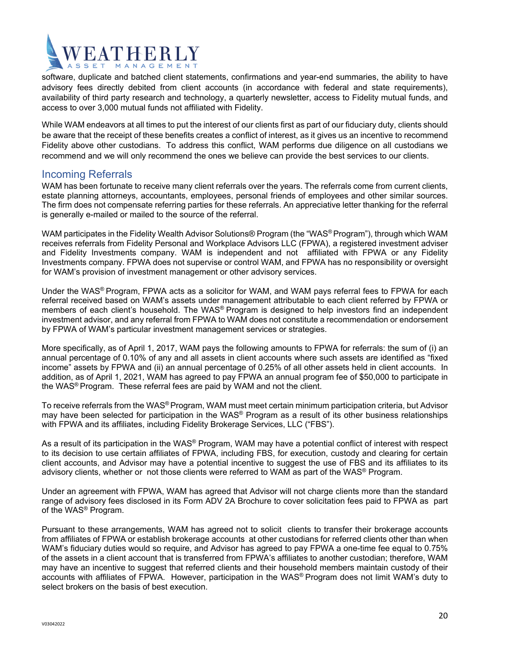

software, duplicate and batched client statements, confirmations and year-end summaries, the ability to have advisory fees directly debited from client accounts (in accordance with federal and state requirements), availability of third party research and technology, a quarterly newsletter, access to Fidelity mutual funds, and access to over 3,000 mutual funds not affiliated with Fidelity.

While WAM endeavors at all times to put the interest of our clients first as part of our fiduciary duty, clients should be aware that the receipt of these benefits creates a conflict of interest, as it gives us an incentive to recommend Fidelity above other custodians. To address this conflict, WAM performs due diligence on all custodians we recommend and we will only recommend the ones we believe can provide the best services to our clients.

#### Incoming Referrals

WAM has been fortunate to receive many client referrals over the years. The referrals come from current clients, estate planning attorneys, accountants, employees, personal friends of employees and other similar sources. The firm does not compensate referring parties for these referrals. An appreciative letter thanking for the referral is generally e-mailed or mailed to the source of the referral.

WAM participates in the Fidelity Wealth Advisor Solutions® Program (the "WAS® Program"), through which WAM receives referrals from Fidelity Personal and Workplace Advisors LLC (FPWA), a registered investment adviser and Fidelity Investments company. WAM is independent and not affiliated with FPWA or any Fidelity Investments company. FPWA does not supervise or control WAM, and FPWA has no responsibility or oversight for WAM's provision of investment management or other advisory services.

Under the WAS® Program, FPWA acts as a solicitor for WAM, and WAM pays referral fees to FPWA for each referral received based on WAM's assets under management attributable to each client referred by FPWA or members of each client's household. The WAS® Program is designed to help investors find an independent investment advisor, and any referral from FPWA to WAM does not constitute a recommendation or endorsement by FPWA of WAM's particular investment management services or strategies.

More specifically, as of April 1, 2017, WAM pays the following amounts to FPWA for referrals: the sum of (i) an annual percentage of 0.10% of any and all assets in client accounts where such assets are identified as "fixed income" assets by FPWA and (ii) an annual percentage of 0.25% of all other assets held in client accounts. In addition, as of April 1, 2021, WAM has agreed to pay FPWA an annual program fee of \$50,000 to participate in the WAS® Program. These referral fees are paid by WAM and not the client.

To receive referrals from the WAS® Program, WAM must meet certain minimum participation criteria, but Advisor may have been selected for participation in the WAS® Program as a result of its other business relationships with FPWA and its affiliates, including Fidelity Brokerage Services, LLC ("FBS").

As a result of its participation in the WAS<sup>®</sup> Program, WAM may have a potential conflict of interest with respect to its decision to use certain affiliates of FPWA, including FBS, for execution, custody and clearing for certain client accounts, and Advisor may have a potential incentive to suggest the use of FBS and its affiliates to its advisory clients, whether or not those clients were referred to WAM as part of the WAS® Program.

Under an agreement with FPWA, WAM has agreed that Advisor will not charge clients more than the standard range of advisory fees disclosed in its Form ADV 2A Brochure to cover solicitation fees paid to FPWA as part of the WAS® Program.

Pursuant to these arrangements, WAM has agreed not to solicit clients to transfer their brokerage accounts from affiliates of FPWA or establish brokerage accounts at other custodians for referred clients other than when WAM's fiduciary duties would so require, and Advisor has agreed to pay FPWA a one-time fee equal to 0.75% of the assets in a client account that is transferred from FPWA's affiliates to another custodian; therefore, WAM may have an incentive to suggest that referred clients and their household members maintain custody of their accounts with affiliates of FPWA. However, participation in the WAS® Program does not limit WAM's duty to select brokers on the basis of best execution.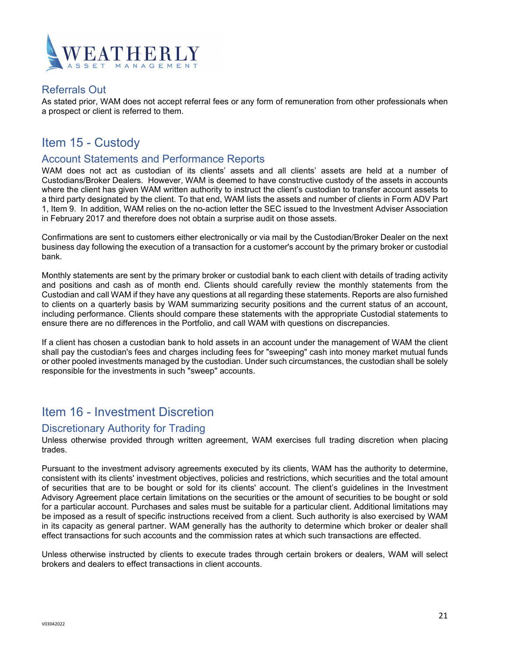

#### Referrals Out

As stated prior, WAM does not accept referral fees or any form of remuneration from other professionals when a prospect or client is referred to them.

## Item 15 - Custody

#### Account Statements and Performance Reports

WAM does not act as custodian of its clients' assets and all clients' assets are held at a number of Custodians/Broker Dealers. However, WAM is deemed to have constructive custody of the assets in accounts where the client has given WAM written authority to instruct the client's custodian to transfer account assets to a third party designated by the client. To that end, WAM lists the assets and number of clients in Form ADV Part 1, Item 9. In addition, WAM relies on the no-action letter the SEC issued to the Investment Adviser Association in February 2017 and therefore does not obtain a surprise audit on those assets.

Confirmations are sent to customers either electronically or via mail by the Custodian/Broker Dealer on the next business day following the execution of a transaction for a customer's account by the primary broker or custodial bank.

Monthly statements are sent by the primary broker or custodial bank to each client with details of trading activity and positions and cash as of month end. Clients should carefully review the monthly statements from the Custodian and call WAM if they have any questions at all regarding these statements. Reports are also furnished to clients on a quarterly basis by WAM summarizing security positions and the current status of an account, including performance. Clients should compare these statements with the appropriate Custodial statements to ensure there are no differences in the Portfolio, and call WAM with questions on discrepancies.

If a client has chosen a custodian bank to hold assets in an account under the management of WAM the client shall pay the custodian's fees and charges including fees for "sweeping" cash into money market mutual funds or other pooled investments managed by the custodian. Under such circumstances, the custodian shall be solely responsible for the investments in such "sweep" accounts.

### Item 16 - Investment Discretion

#### Discretionary Authority for Trading

Unless otherwise provided through written agreement, WAM exercises full trading discretion when placing trades.

Pursuant to the investment advisory agreements executed by its clients, WAM has the authority to determine, consistent with its clients' investment objectives, policies and restrictions, which securities and the total amount of securities that are to be bought or sold for its clients' account. The client's guidelines in the Investment Advisory Agreement place certain limitations on the securities or the amount of securities to be bought or sold for a particular account. Purchases and sales must be suitable for a particular client. Additional limitations may be imposed as a result of specific instructions received from a client. Such authority is also exercised by WAM in its capacity as general partner. WAM generally has the authority to determine which broker or dealer shall effect transactions for such accounts and the commission rates at which such transactions are effected.

Unless otherwise instructed by clients to execute trades through certain brokers or dealers, WAM will select brokers and dealers to effect transactions in client accounts.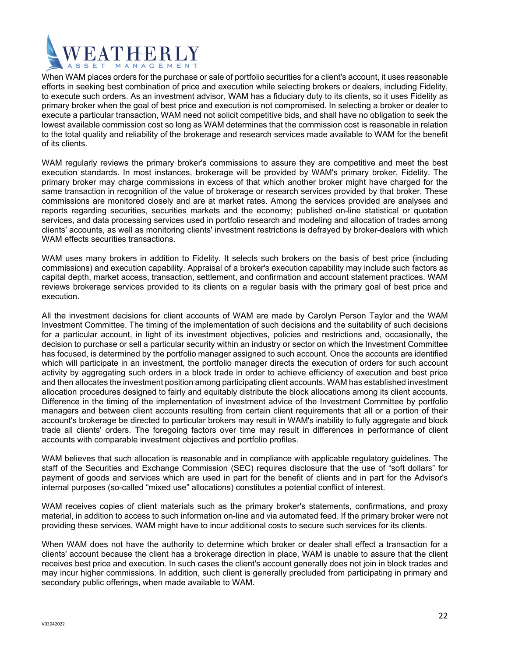

When WAM places orders for the purchase or sale of portfolio securities for a client's account, it uses reasonable efforts in seeking best combination of price and execution while selecting brokers or dealers, including Fidelity, to execute such orders. As an investment advisor, WAM has a fiduciary duty to its clients, so it uses Fidelity as primary broker when the goal of best price and execution is not compromised. In selecting a broker or dealer to execute a particular transaction, WAM need not solicit competitive bids, and shall have no obligation to seek the lowest available commission cost so long as WAM determines that the commission cost is reasonable in relation to the total quality and reliability of the brokerage and research services made available to WAM for the benefit of its clients.

WAM regularly reviews the primary broker's commissions to assure they are competitive and meet the best execution standards. In most instances, brokerage will be provided by WAM's primary broker, Fidelity. The primary broker may charge commissions in excess of that which another broker might have charged for the same transaction in recognition of the value of brokerage or research services provided by that broker. These commissions are monitored closely and are at market rates. Among the services provided are analyses and reports regarding securities, securities markets and the economy; published on-line statistical or quotation services, and data processing services used in portfolio research and modeling and allocation of trades among clients' accounts, as well as monitoring clients' investment restrictions is defrayed by broker-dealers with which WAM effects securities transactions.

WAM uses many brokers in addition to Fidelity. It selects such brokers on the basis of best price (including commissions) and execution capability. Appraisal of a broker's execution capability may include such factors as capital depth, market access, transaction, settlement, and confirmation and account statement practices. WAM reviews brokerage services provided to its clients on a regular basis with the primary goal of best price and execution.

All the investment decisions for client accounts of WAM are made by Carolyn Person Taylor and the WAM Investment Committee. The timing of the implementation of such decisions and the suitability of such decisions for a particular account, in light of its investment objectives, policies and restrictions and, occasionally, the decision to purchase or sell a particular security within an industry or sector on which the Investment Committee has focused, is determined by the portfolio manager assigned to such account. Once the accounts are identified which will participate in an investment, the portfolio manager directs the execution of orders for such account activity by aggregating such orders in a block trade in order to achieve efficiency of execution and best price and then allocates the investment position among participating client accounts. WAM has established investment allocation procedures designed to fairly and equitably distribute the block allocations among its client accounts. Difference in the timing of the implementation of investment advice of the Investment Committee by portfolio managers and between client accounts resulting from certain client requirements that all or a portion of their account's brokerage be directed to particular brokers may result in WAM's inability to fully aggregate and block trade all clients' orders. The foregoing factors over time may result in differences in performance of client accounts with comparable investment objectives and portfolio profiles.

WAM believes that such allocation is reasonable and in compliance with applicable regulatory guidelines. The staff of the Securities and Exchange Commission (SEC) requires disclosure that the use of "soft dollars" for payment of goods and services which are used in part for the benefit of clients and in part for the Advisor's internal purposes (so-called "mixed use" allocations) constitutes a potential conflict of interest.

WAM receives copies of client materials such as the primary broker's statements, confirmations, and proxy material, in addition to access to such information on-line and via automated feed. If the primary broker were not providing these services, WAM might have to incur additional costs to secure such services for its clients.

When WAM does not have the authority to determine which broker or dealer shall effect a transaction for a clients' account because the client has a brokerage direction in place, WAM is unable to assure that the client receives best price and execution. In such cases the client's account generally does not join in block trades and may incur higher commissions. In addition, such client is generally precluded from participating in primary and secondary public offerings, when made available to WAM.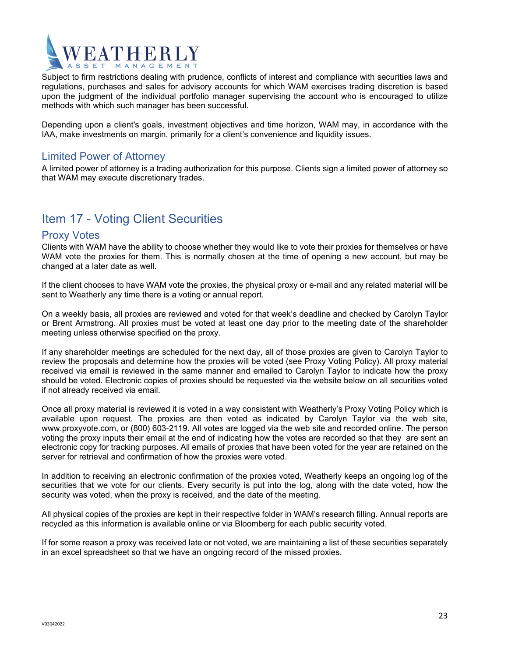

Subject to firm restrictions dealing with prudence, conflicts of interest and compliance with securities laws and regulations, purchases and sales for advisory accounts for which WAM exercises trading discretion is based upon the judgment of the individual portfolio manager supervising the account who is encouraged to utilize methods with which such manager has been successful.

Depending upon a client's goals, investment objectives and time horizon, WAM may, in accordance with the IAA, make investments on margin, primarily for a client's convenience and liquidity issues.

#### Limited Power of Attorney

A limited power of attorney is a trading authorization for this purpose. Clients sign a limited power of attorney so that WAM may execute discretionary trades.

### Item 17 - Voting Client Securities

#### Proxy Votes

Clients with WAM have the ability to choose whether they would like to vote their proxies for themselves or have WAM vote the proxies for them. This is normally chosen at the time of opening a new account, but may be changed at a later date as well.

If the client chooses to have WAM vote the proxies, the physical proxy or e-mail and any related material will be sent to Weatherly any time there is a voting or annual report.

On a weekly basis, all proxies are reviewed and voted for that week's deadline and checked by Carolyn Taylor or Brent Armstrong. All proxies must be voted at least one day prior to the meeting date of the shareholder meeting unless otherwise specified on the proxy.

If any shareholder meetings are scheduled for the next day, all of those proxies are given to Carolyn Taylor to review the proposals and determine how the proxies will be voted (see Proxy Voting Policy). All proxy material received via email is reviewed in the same manner and emailed to Carolyn Taylor to indicate how the proxy should be voted. Electronic copies of proxies should be requested via the website below on all securities voted if not already received via email.

Once all proxy material is reviewed it is voted in a way consistent with Weatherly's Proxy Voting Policy which is available upon request. The proxies are then voted as indicated by Carolyn Taylor via the web site, www.proxyvote.com, or (800) 603-2119. All votes are logged via the web site and recorded online. The person voting the proxy inputs their email at the end of indicating how the votes are recorded so that they are sent an electronic copy for tracking purposes. All emails of proxies that have been voted for the year are retained on the server for retrieval and confirmation of how the proxies were voted.

In addition to receiving an electronic confirmation of the proxies voted, Weatherly keeps an ongoing log of the securities that we vote for our clients. Every security is put into the log, along with the date voted, how the security was voted, when the proxy is received, and the date of the meeting.

All physical copies of the proxies are kept in their respective folder in WAM's research filling. Annual reports are recycled as this information is available online or via Bloomberg for each public security voted.

If for some reason a proxy was received late or not voted, we are maintaining a list of these securities separately in an excel spreadsheet so that we have an ongoing record of the missed proxies.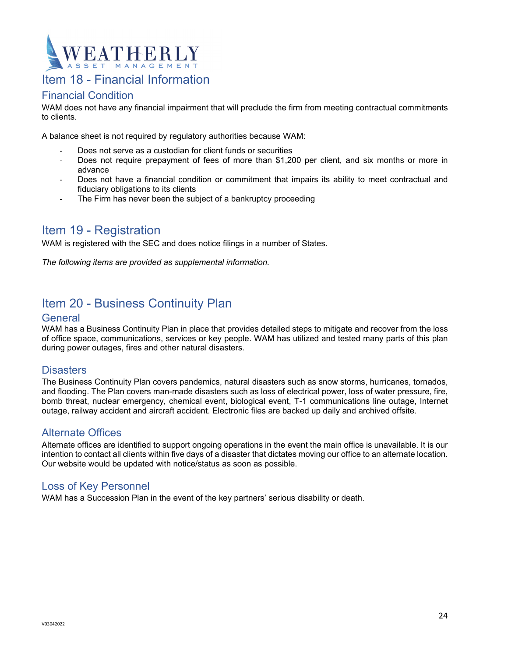

### Item 18 - Financial Information

#### Financial Condition

WAM does not have any financial impairment that will preclude the firm from meeting contractual commitments to clients.

A balance sheet is not required by regulatory authorities because WAM:

- ‐ Does not serve as a custodian for client funds or securities
- Does not require prepayment of fees of more than \$1,200 per client, and six months or more in advance
- ‐ Does not have a financial condition or commitment that impairs its ability to meet contractual and fiduciary obligations to its clients
- The Firm has never been the subject of a bankruptcy proceeding

## Item 19 - Registration

WAM is registered with the SEC and does notice filings in a number of States.

*The following items are provided as supplemental information.* 

## Item 20 - Business Continuity Plan

#### **General**

WAM has a Business Continuity Plan in place that provides detailed steps to mitigate and recover from the loss of office space, communications, services or key people. WAM has utilized and tested many parts of this plan during power outages, fires and other natural disasters.

#### **Disasters**

The Business Continuity Plan covers pandemics, natural disasters such as snow storms, hurricanes, tornados, and flooding. The Plan covers man-made disasters such as loss of electrical power, loss of water pressure, fire, bomb threat, nuclear emergency, chemical event, biological event, T-1 communications line outage, Internet outage, railway accident and aircraft accident. Electronic files are backed up daily and archived offsite.

#### Alternate Offices

Alternate offices are identified to support ongoing operations in the event the main office is unavailable. It is our intention to contact all clients within five days of a disaster that dictates moving our office to an alternate location. Our website would be updated with notice/status as soon as possible.

#### Loss of Key Personnel

WAM has a Succession Plan in the event of the key partners' serious disability or death.